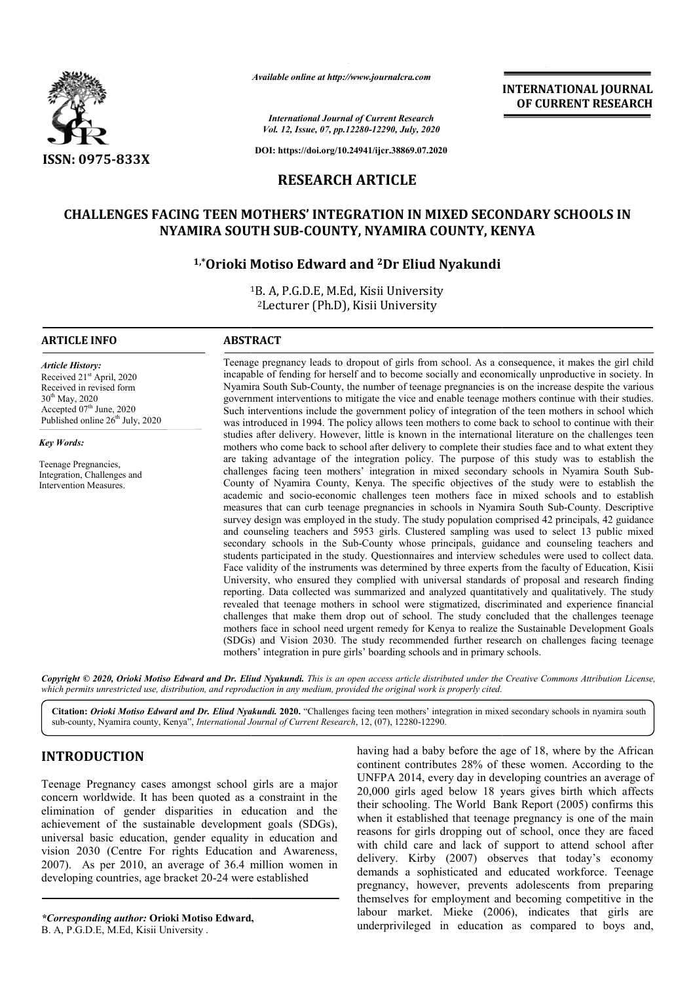

*Available online at http://www.journalcra.com*

**INTERNATIONAL JOURNAL OF CURRENT RESEARCH**

*International Journal of Current Research Vol. 12, Issue, 07, pp.12280-12290, July, 2020*

**DOI: https://doi.org/10.24941/ijcr.38869.07.2020**

# **RESEARCH ARTICLE**

# **CHALLENGES FACING TEEN MOTHERS' INTEGRATION IN MIXED SECONDARY SCHOOLS IN**  ACING TEEN MOTHERS' INTEGRATION IN MIXED SECONDA<br>NYAMIRA SOUTH SUB-COUNTY, NYAMIRA COUNTY, KENYA

# **1,\*Orioki Motiso Edward and Orioki 2Dr Eliud Nyakundi**

1 1B. A, P.G.D.E, M.Ed, Kisii University 2Lecturer (Ph.D), Kisii University

### **ARTICLE INFO ABSTRACT**

*Article History:* Received 21st April, 2020 Received in revised form 30th May, 2020 Accepted  $07<sup>th</sup>$  June, 2020 Published online 26<sup>th</sup> July, 2020

*Key Words:*

Teenage Pregnancies, Integration, Challenges and Intervention Measures.

Teenage pregnancy leads to dropout of girls from school. As a consequence, it makes the girl child incapable of fending for herself and to become socially and economically unproductive in society. In Nyamira South Sub Sub-County, the number of teenage pregnancies is on the increase despite the various government interventions to mitigate the vice and enable teenage mothers continue with their studies. Such interventions include the government policy of integration of the teen mothers in school which was introduced in 1994. The policy allows teen mothers to come back to school to continue studies after delivery. However, little is known in the international literature on the challenges teen mothers who come back to school after delivery to complete their studies face and to what extent they are taking advantage of the integration policy. The purpose of this study was to establish the challenges facing teen mothers' integration in mixed secondary schools in Nyamira South Sub County of Nyamira County, Kenya. The specific objectives of the study were to establish the academic and socio-economic challenges teen mothers face in mixed schools and to establish measures that can curb teenage pregnanc academic and socio-economic challenges teen mothers face in mixed schools and to establish measures that can curb teenage pregnancies in schools in Nyamira South Sub survey design was employed in the study. The study population comprised 42 principals, 42 guidance and counseling teachers and 5953 girls. Clustered sampling was used to select 13 public mixed secondary schools in the Sub Sub-County whose principals, guidance and counseling teachers and students participated in the study. Questionnaires and interview schedules were used to collect data. Face validity of the instruments was determined by three experts from the faculty of Education, Kisii University, who ensured they complied with universal standards of proposal and research finding reporting. Da Data collected was summarized and analyzed quantitatively and qualitatively. The study revealed that teenage mothers in school were stigmatized, discriminated and experience financial challenges that make them drop out of school. The study concluded that the challenges teenage mothers face in school need urgent remedy for Kenya to realize the Sustainable Development Goals (SDGs) and Vision 2030. The study recommended further research on challenges facing teenage mothers face in school need urgent remedy for Kenya to realize the Susta (SDGs) and Vision 2030. The study recommended further research on mothers' integration in pure girls' boarding schools and in primary schools. incapable of fending for herself and to become socially and economically unproductive in society. In Nyamira South Sub-County, the number of teenage pregnancies is on the increase despite the various government interventio studies after delivery. However, little is known in the international literature on the challenges teen<br>mothers who come back to school after delivery to complete their studies face and to what extent they<br>are taking advan and counseling teachers and 5953 girls. Clustered sampling was used to select 13 public mixed<br>secondary schools in the Sub-County whose principals, guidance and counseling teachers and<br>students participated in the study. Q INTERNATIONAL JOURNAL OF CURRENT RESEEARCH OF CURRENT RESEARCH OF CURRENT RESEARCH DO CONDOMINENT RESEARCH NOTE AND AND AND AND AND STANDA and conomically unproductive in social production and interaction as the increase d

Copyright © 2020, Orioki Motiso Edward and Dr. Eliud Nyakundi. This is an open access article distributed under the Creative Commons Attribution License, which permits unrestricted use, distribution, and reproduction in any medium, provided the original work is properly cited.

Citation: Orioki Motiso Edward and Dr. Eliud Nyakundi. 2020. "Challenges facing teen mothers' integration in mixed secondary schools in nyamira south sub-county, Nyamira county, Kenya", *International Journal of Current Research*, 12, (07), 12280-12290.

## **INTRODUCTION**

Teenage Pregnancy cases amongst school girls are a major concern worldwide. It has been quoted as a constraint in the elimination of gender disparities in education and the achievement of the sustainable development goals (SDGs), universal basic education, gender equality in education and vision 2030 (Centre For rights Education and Awareness, 2007). As per 2010, an average of 36.4 million women in developing countries, age bracket 20-24 were established

*\*Corresponding author:* **Orioki Motiso Edward,**  B. A, P.G.D.E, M.Ed, Kisii University .

age 18, where by the African<br>
a continent contributes 28% of these women. According to the<br>
26% of these women. According to the<br>
27,000 girls aged below 18 years gives birth which affects<br>
arities in education and the<br>
le continent contributes 28% of these women. According to the UNFPA 2014, every day in developing countries an average of 20,000 girls aged below 18 years gives birth which affects their schooling. The World Bank Report (2005) confirms this when it established that teenage pregnancy is one of the main reasons for girls dropping out of school, once they are faced with child care and lack of support to attend school after delivery. Kirby (2007) observes that today's economy demands a sophisticated and educated workforce. Teenage pregnancy, however, prevents adolescents from preparing themselves for employment and becoming competitive in the labour market. Mieke (2006), indicates that girls are underprivileged in education as compared to boys and, having had a baby before the age of 18, where by the African continent contributes 28% of these women. According to the UNFPA 2014, every day in developing countries an average of 20,000 girls aged below 18 years gives bir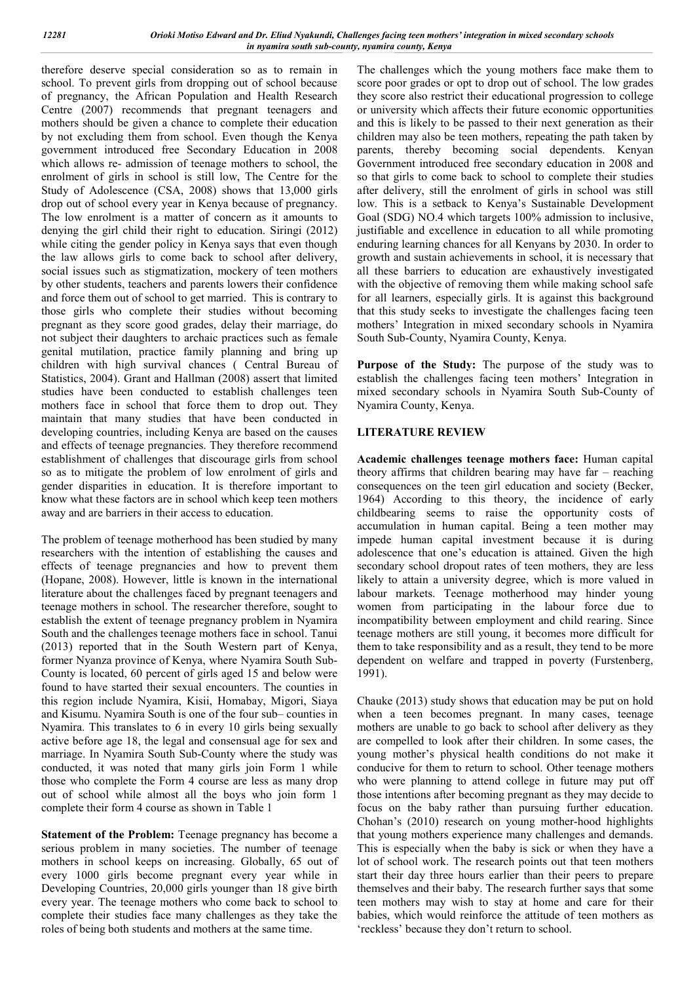therefore deserve special consideration so as to remain in school. To prevent girls from dropping out of school because of pregnancy, the African Population and Health Research Centre (2007) recommends that pregnant teenagers and mothers should be given a chance to complete their education by not excluding them from school. Even though the Kenya government introduced free Secondary Education in 2008 which allows re- admission of teenage mothers to school, the enrolment of girls in school is still low, The Centre for the Study of Adolescence (CSA, 2008) shows that 13,000 girls drop out of school every year in Kenya because of pregnancy. The low enrolment is a matter of concern as it amounts to denying the girl child their right to education. Siringi (2012) while citing the gender policy in Kenya says that even though the law allows girls to come back to school after delivery, social issues such as stigmatization, mockery of teen mothers by other students, teachers and parents lowers their confidence and force them out of school to get married. This is contrary to those girls who complete their studies without becoming pregnant as they score good grades, delay their marriage, do not subject their daughters to archaic practices such as female genital mutilation, practice family planning and bring up children with high survival chances ( Central Bureau of Statistics, 2004). Grant and Hallman (2008) assert that limited studies have been conducted to establish challenges teen mothers face in school that force them to drop out. They maintain that many studies that have been conducted in developing countries, including Kenya are based on the causes and effects of teenage pregnancies. They therefore recommend establishment of challenges that discourage girls from school so as to mitigate the problem of low enrolment of girls and gender disparities in education. It is therefore important to know what these factors are in school which keep teen mothers away and are barriers in their access to education.

The problem of teenage motherhood has been studied by many researchers with the intention of establishing the causes and effects of teenage pregnancies and how to prevent them (Hopane, 2008). However, little is known in the international literature about the challenges faced by pregnant teenagers and teenage mothers in school. The researcher therefore, sought to establish the extent of teenage pregnancy problem in Nyamira South and the challenges teenage mothers face in school. Tanui (2013) reported that in the South Western part of Kenya, former Nyanza province of Kenya, where Nyamira South Sub-County is located, 60 percent of girls aged 15 and below were found to have started their sexual encounters. The counties in this region include Nyamira, Kisii, Homabay, Migori, Siaya and Kisumu. Nyamira South is one of the four sub– counties in Nyamira. This translates to 6 in every 10 girls being sexually active before age 18, the legal and consensual age for sex and marriage. In Nyamira South Sub-County where the study was conducted, it was noted that many girls join Form 1 while those who complete the Form 4 course are less as many drop out of school while almost all the boys who join form 1 complete their form 4 course as shown in Table 1

**Statement of the Problem:** Teenage pregnancy has become a serious problem in many societies. The number of teenage mothers in school keeps on increasing. Globally, 65 out of every 1000 girls become pregnant every year while in Developing Countries, 20,000 girls younger than 18 give birth every year. The teenage mothers who come back to school to complete their studies face many challenges as they take the roles of being both students and mothers at the same time.

The challenges which the young mothers face make them to score poor grades or opt to drop out of school. The low grades they score also restrict their educational progression to college or university which affects their future economic opportunities and this is likely to be passed to their next generation as their children may also be teen mothers, repeating the path taken by parents, thereby becoming social dependents. Kenyan Government introduced free secondary education in 2008 and so that girls to come back to school to complete their studies after delivery, still the enrolment of girls in school was still low. This is a setback to Kenya's Sustainable Development Goal (SDG) NO.4 which targets 100% admission to inclusive, justifiable and excellence in education to all while promoting enduring learning chances for all Kenyans by 2030. In order to growth and sustain achievements in school, it is necessary that all these barriers to education are exhaustively investigated with the objective of removing them while making school safe for all learners, especially girls. It is against this background that this study seeks to investigate the challenges facing teen mothers' Integration in mixed secondary schools in Nyamira South Sub-County, Nyamira County, Kenya.

**Purpose of the Study:** The purpose of the study was to establish the challenges facing teen mothers' Integration in mixed secondary schools in Nyamira South Sub-County of Nyamira County, Kenya.

## **LITERATURE REVIEW**

**Academic challenges teenage mothers face:** Human capital theory affirms that children bearing may have far – reaching consequences on the teen girl education and society (Becker, 1964) According to this theory, the incidence of early childbearing seems to raise the opportunity costs of accumulation in human capital. Being a teen mother may impede human capital investment because it is during adolescence that one's education is attained. Given the high secondary school dropout rates of teen mothers, they are less likely to attain a university degree, which is more valued in labour markets. Teenage motherhood may hinder young women from participating in the labour force due to incompatibility between employment and child rearing. Since teenage mothers are still young, it becomes more difficult for them to take responsibility and as a result, they tend to be more dependent on welfare and trapped in poverty (Furstenberg, 1991).

Chauke (2013) study shows that education may be put on hold when a teen becomes pregnant. In many cases, teenage mothers are unable to go back to school after delivery as they are compelled to look after their children. In some cases, the young mother's physical health conditions do not make it conducive for them to return to school. Other teenage mothers who were planning to attend college in future may put off those intentions after becoming pregnant as they may decide to focus on the baby rather than pursuing further education. Chohan's (2010) research on young mother-hood highlights that young mothers experience many challenges and demands. This is especially when the baby is sick or when they have a lot of school work. The research points out that teen mothers start their day three hours earlier than their peers to prepare themselves and their baby. The research further says that some teen mothers may wish to stay at home and care for their babies, which would reinforce the attitude of teen mothers as 'reckless' because they don't return to school.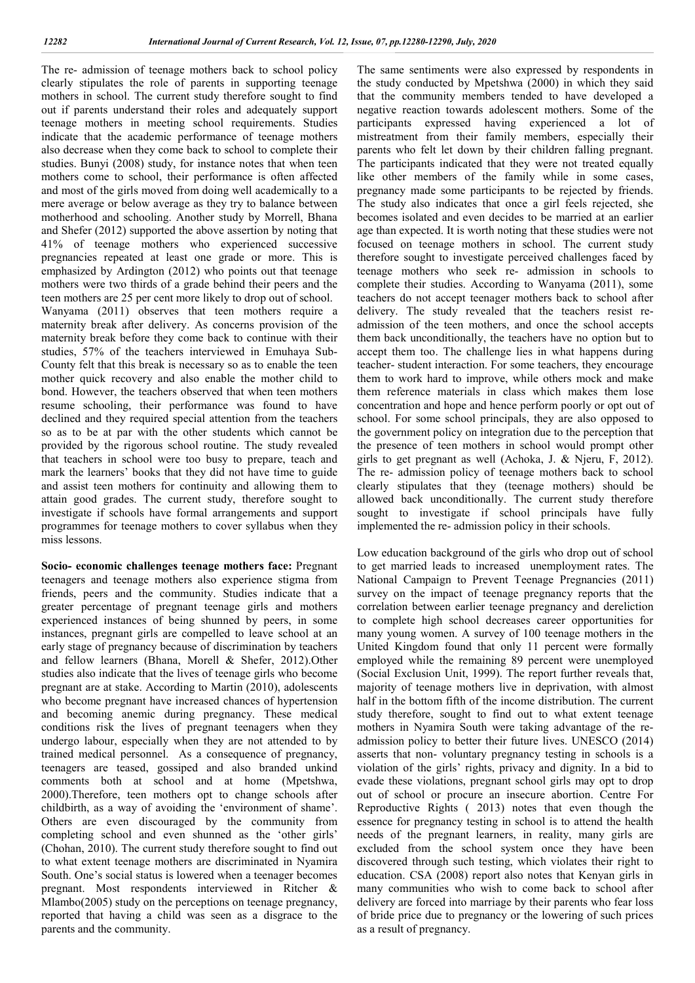The re- admission of teenage mothers back to school policy clearly stipulates the role of parents in supporting teenage mothers in school. The current study therefore sought to find out if parents understand their roles and adequately support teenage mothers in meeting school requirements. Studies indicate that the academic performance of teenage mothers also decrease when they come back to school to complete their studies. Bunyi (2008) study, for instance notes that when teen mothers come to school, their performance is often affected and most of the girls moved from doing well academically to a mere average or below average as they try to balance between motherhood and schooling. Another study by Morrell, Bhana and Shefer (2012) supported the above assertion by noting that 41% of teenage mothers who experienced successive pregnancies repeated at least one grade or more. This is emphasized by Ardington (2012) who points out that teenage mothers were two thirds of a grade behind their peers and the teen mothers are 25 per cent more likely to drop out of school. Wanyama (2011) observes that teen mothers require a maternity break after delivery. As concerns provision of the maternity break before they come back to continue with their studies, 57% of the teachers interviewed in Emuhaya Sub-County felt that this break is necessary so as to enable the teen mother quick recovery and also enable the mother child to bond. However, the teachers observed that when teen mothers resume schooling, their performance was found to have declined and they required special attention from the teachers so as to be at par with the other students which cannot be provided by the rigorous school routine. The study revealed that teachers in school were too busy to prepare, teach and mark the learners' books that they did not have time to guide and assist teen mothers for continuity and allowing them to attain good grades. The current study, therefore sought to investigate if schools have formal arrangements and support programmes for teenage mothers to cover syllabus when they miss lessons.

**Socio- economic challenges teenage mothers face:** Pregnant teenagers and teenage mothers also experience stigma from friends, peers and the community. Studies indicate that a greater percentage of pregnant teenage girls and mothers experienced instances of being shunned by peers, in some instances, pregnant girls are compelled to leave school at an early stage of pregnancy because of discrimination by teachers and fellow learners (Bhana, Morell & Shefer, 2012).Other studies also indicate that the lives of teenage girls who become pregnant are at stake. According to Martin (2010), adolescents who become pregnant have increased chances of hypertension and becoming anemic during pregnancy. These medical conditions risk the lives of pregnant teenagers when they undergo labour, especially when they are not attended to by trained medical personnel. As a consequence of pregnancy, teenagers are teased, gossiped and also branded unkind comments both at school and at home (Mpetshwa, 2000).Therefore, teen mothers opt to change schools after childbirth, as a way of avoiding the 'environment of shame'. Others are even discouraged by the community from completing school and even shunned as the 'other girls' (Chohan, 2010). The current study therefore sought to find out to what extent teenage mothers are discriminated in Nyamira South. One's social status is lowered when a teenager becomes pregnant. Most respondents interviewed in Ritcher & Mlambo(2005) study on the perceptions on teenage pregnancy, reported that having a child was seen as a disgrace to the parents and the community.

The same sentiments were also expressed by respondents in the study conducted by Mpetshwa (2000) in which they said that the community members tended to have developed a negative reaction towards adolescent mothers. Some of the participants expressed having experienced a lot of mistreatment from their family members, especially their parents who felt let down by their children falling pregnant. The participants indicated that they were not treated equally like other members of the family while in some cases, pregnancy made some participants to be rejected by friends. The study also indicates that once a girl feels rejected, she becomes isolated and even decides to be married at an earlier age than expected. It is worth noting that these studies were not focused on teenage mothers in school. The current study therefore sought to investigate perceived challenges faced by teenage mothers who seek re- admission in schools to complete their studies. According to Wanyama (2011), some teachers do not accept teenager mothers back to school after delivery. The study revealed that the teachers resist readmission of the teen mothers, and once the school accepts them back unconditionally, the teachers have no option but to accept them too. The challenge lies in what happens during teacher- student interaction. For some teachers, they encourage them to work hard to improve, while others mock and make them reference materials in class which makes them lose concentration and hope and hence perform poorly or opt out of school. For some school principals, they are also opposed to the government policy on integration due to the perception that the presence of teen mothers in school would prompt other girls to get pregnant as well (Achoka, J. & Njeru, F, 2012). The re- admission policy of teenage mothers back to school clearly stipulates that they (teenage mothers) should be allowed back unconditionally. The current study therefore sought to investigate if school principals have fully implemented the re- admission policy in their schools.

Low education background of the girls who drop out of school to get married leads to increased unemployment rates. The National Campaign to Prevent Teenage Pregnancies (2011) survey on the impact of teenage pregnancy reports that the correlation between earlier teenage pregnancy and dereliction to complete high school decreases career opportunities for many young women. A survey of 100 teenage mothers in the United Kingdom found that only 11 percent were formally employed while the remaining 89 percent were unemployed (Social Exclusion Unit, 1999). The report further reveals that, majority of teenage mothers live in deprivation, with almost half in the bottom fifth of the income distribution. The current study therefore, sought to find out to what extent teenage mothers in Nyamira South were taking advantage of the readmission policy to better their future lives. UNESCO (2014) asserts that non- voluntary pregnancy testing in schools is a violation of the girls' rights, privacy and dignity. In a bid to evade these violations, pregnant school girls may opt to drop out of school or procure an insecure abortion. Centre For Reproductive Rights ( 2013) notes that even though the essence for pregnancy testing in school is to attend the health needs of the pregnant learners, in reality, many girls are excluded from the school system once they have been discovered through such testing, which violates their right to education. CSA (2008) report also notes that Kenyan girls in many communities who wish to come back to school after delivery are forced into marriage by their parents who fear loss of bride price due to pregnancy or the lowering of such prices as a result of pregnancy.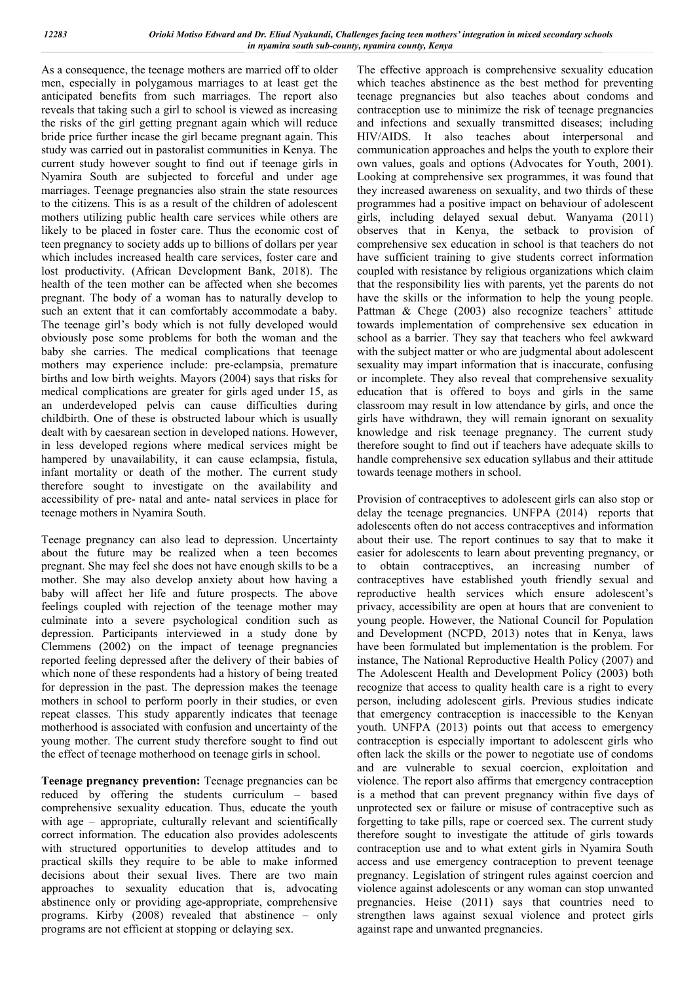As a consequence, the teenage mothers are married off to older men, especially in polygamous marriages to at least get the anticipated benefits from such marriages. The report also reveals that taking such a girl to school is viewed as increasing the risks of the girl getting pregnant again which will reduce bride price further incase the girl became pregnant again. This study was carried out in pastoralist communities in Kenya. The current study however sought to find out if teenage girls in Nyamira South are subjected to forceful and under age marriages. Teenage pregnancies also strain the state resources to the citizens. This is as a result of the children of adolescent mothers utilizing public health care services while others are likely to be placed in foster care. Thus the economic cost of teen pregnancy to society adds up to billions of dollars per year which includes increased health care services, foster care and lost productivity. (African Development Bank, 2018). The health of the teen mother can be affected when she becomes pregnant. The body of a woman has to naturally develop to such an extent that it can comfortably accommodate a baby. The teenage girl's body which is not fully developed would obviously pose some problems for both the woman and the baby she carries. The medical complications that teenage mothers may experience include: pre-eclampsia, premature births and low birth weights. Mayors (2004) says that risks for medical complications are greater for girls aged under 15, as an underdeveloped pelvis can cause difficulties during childbirth. One of these is obstructed labour which is usually dealt with by caesarean section in developed nations. However, in less developed regions where medical services might be hampered by unavailability, it can cause eclampsia, fistula, infant mortality or death of the mother. The current study therefore sought to investigate on the availability and accessibility of pre- natal and ante- natal services in place for teenage mothers in Nyamira South.

Teenage pregnancy can also lead to depression. Uncertainty about the future may be realized when a teen becomes pregnant. She may feel she does not have enough skills to be a mother. She may also develop anxiety about how having a baby will affect her life and future prospects. The above feelings coupled with rejection of the teenage mother may culminate into a severe psychological condition such as depression. Participants interviewed in a study done by Clemmens (2002) on the impact of teenage pregnancies reported feeling depressed after the delivery of their babies of which none of these respondents had a history of being treated for depression in the past. The depression makes the teenage mothers in school to perform poorly in their studies, or even repeat classes. This study apparently indicates that teenage motherhood is associated with confusion and uncertainty of the young mother. The current study therefore sought to find out the effect of teenage motherhood on teenage girls in school.

**Teenage pregnancy prevention:** Teenage pregnancies can be reduced by offering the students curriculum – based comprehensive sexuality education. Thus, educate the youth with age – appropriate, culturally relevant and scientifically correct information. The education also provides adolescents with structured opportunities to develop attitudes and to practical skills they require to be able to make informed decisions about their sexual lives. There are two main approaches to sexuality education that is, advocating abstinence only or providing age-appropriate, comprehensive programs. Kirby (2008) revealed that abstinence – only programs are not efficient at stopping or delaying sex.

The effective approach is comprehensive sexuality education which teaches abstinence as the best method for preventing teenage pregnancies but also teaches about condoms and contraception use to minimize the risk of teenage pregnancies and infections and sexually transmitted diseases; including HIV/AIDS. It also teaches about interpersonal and communication approaches and helps the youth to explore their own values, goals and options (Advocates for Youth, 2001). Looking at comprehensive sex programmes, it was found that they increased awareness on sexuality, and two thirds of these programmes had a positive impact on behaviour of adolescent girls, including delayed sexual debut. Wanyama (2011) observes that in Kenya, the setback to provision of comprehensive sex education in school is that teachers do not have sufficient training to give students correct information coupled with resistance by religious organizations which claim that the responsibility lies with parents, yet the parents do not have the skills or the information to help the young people. Pattman & Chege (2003) also recognize teachers' attitude towards implementation of comprehensive sex education in school as a barrier. They say that teachers who feel awkward with the subject matter or who are judgmental about adolescent sexuality may impart information that is inaccurate, confusing or incomplete. They also reveal that comprehensive sexuality education that is offered to boys and girls in the same classroom may result in low attendance by girls, and once the girls have withdrawn, they will remain ignorant on sexuality knowledge and risk teenage pregnancy. The current study therefore sought to find out if teachers have adequate skills to handle comprehensive sex education syllabus and their attitude towards teenage mothers in school.

Provision of contraceptives to adolescent girls can also stop or delay the teenage pregnancies. UNFPA (2014) reports that adolescents often do not access contraceptives and information about their use. The report continues to say that to make it easier for adolescents to learn about preventing pregnancy, or obtain contraceptives, an increasing number of contraceptives have established youth friendly sexual and reproductive health services which ensure adolescent's privacy, accessibility are open at hours that are convenient to young people. However, the National Council for Population and Development (NCPD, 2013) notes that in Kenya, laws have been formulated but implementation is the problem. For instance, The National Reproductive Health Policy (2007) and The Adolescent Health and Development Policy (2003) both recognize that access to quality health care is a right to every person, including adolescent girls. Previous studies indicate that emergency contraception is inaccessible to the Kenyan youth. UNFPA (2013) points out that access to emergency contraception is especially important to adolescent girls who often lack the skills or the power to negotiate use of condoms and are vulnerable to sexual coercion, exploitation and violence. The report also affirms that emergency contraception is a method that can prevent pregnancy within five days of unprotected sex or failure or misuse of contraceptive such as forgetting to take pills, rape or coerced sex. The current study therefore sought to investigate the attitude of girls towards contraception use and to what extent girls in Nyamira South access and use emergency contraception to prevent teenage pregnancy. Legislation of stringent rules against coercion and violence against adolescents or any woman can stop unwanted pregnancies. Heise (2011) says that countries need to strengthen laws against sexual violence and protect girls against rape and unwanted pregnancies.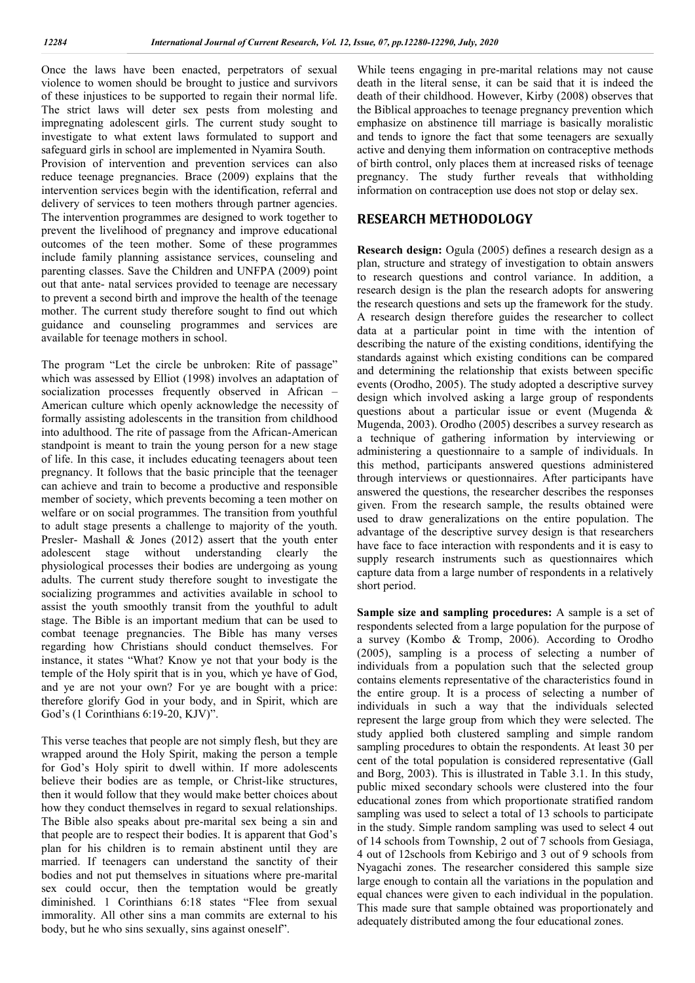Once the laws have been enacted, perpetrators of sexual violence to women should be brought to justice and survivors of these injustices to be supported to regain their normal life. The strict laws will deter sex pests from molesting and impregnating adolescent girls. The current study sought to investigate to what extent laws formulated to support and safeguard girls in school are implemented in Nyamira South. Provision of intervention and prevention services can also reduce teenage pregnancies. Brace (2009) explains that the intervention services begin with the identification, referral and delivery of services to teen mothers through partner agencies. The intervention programmes are designed to work together to prevent the livelihood of pregnancy and improve educational outcomes of the teen mother. Some of these programmes include family planning assistance services, counseling and parenting classes. Save the Children and UNFPA (2009) point out that ante- natal services provided to teenage are necessary to prevent a second birth and improve the health of the teenage mother. The current study therefore sought to find out which guidance and counseling programmes and services are available for teenage mothers in school.

The program "Let the circle be unbroken: Rite of passage" which was assessed by Elliot (1998) involves an adaptation of socialization processes frequently observed in African American culture which openly acknowledge the necessity of formally assisting adolescents in the transition from childhood into adulthood. The rite of passage from the African-American standpoint is meant to train the young person for a new stage of life. In this case, it includes educating teenagers about teen pregnancy. It follows that the basic principle that the teenager can achieve and train to become a productive and responsible member of society, which prevents becoming a teen mother on welfare or on social programmes. The transition from youthful to adult stage presents a challenge to majority of the youth. Presler- Mashall & Jones (2012) assert that the youth enter adolescent stage without understanding clearly the physiological processes their bodies are undergoing as young adults. The current study therefore sought to investigate the socializing programmes and activities available in school to assist the youth smoothly transit from the youthful to adult stage. The Bible is an important medium that can be used to combat teenage pregnancies. The Bible has many verses regarding how Christians should conduct themselves. For instance, it states "What? Know ye not that your body is the temple of the Holy spirit that is in you, which ye have of God, and ye are not your own? For ye are bought with a price: therefore glorify God in your body, and in Spirit, which are God's (1 Corinthians 6:19-20, KJV)".

This verse teaches that people are not simply flesh, but they are wrapped around the Holy Spirit, making the person a temple for God's Holy spirit to dwell within. If more adolescents believe their bodies are as temple, or Christ-like structures, then it would follow that they would make better choices about how they conduct themselves in regard to sexual relationships. The Bible also speaks about pre-marital sex being a sin and that people are to respect their bodies. It is apparent that God's plan for his children is to remain abstinent until they are married. If teenagers can understand the sanctity of their bodies and not put themselves in situations where pre-marital sex could occur, then the temptation would be greatly diminished. 1 Corinthians 6:18 states "Flee from sexual immorality. All other sins a man commits are external to his body, but he who sins sexually, sins against oneself".

While teens engaging in pre-marital relations may not cause death in the literal sense, it can be said that it is indeed the death of their childhood. However, Kirby (2008) observes that the Biblical approaches to teenage pregnancy prevention which emphasize on abstinence till marriage is basically moralistic and tends to ignore the fact that some teenagers are sexually active and denying them information on contraceptive methods of birth control, only places them at increased risks of teenage pregnancy. The study further reveals that withholding information on contraception use does not stop or delay sex.

## **RESEARCH METHODOLOGY**

**Research design:** Ogula (2005) defines a research design as a plan, structure and strategy of investigation to obtain answers to research questions and control variance. In addition, a research design is the plan the research adopts for answering the research questions and sets up the framework for the study. A research design therefore guides the researcher to collect data at a particular point in time with the intention of describing the nature of the existing conditions, identifying the standards against which existing conditions can be compared and determining the relationship that exists between specific events (Orodho, 2005). The study adopted a descriptive survey design which involved asking a large group of respondents questions about a particular issue or event (Mugenda & Mugenda, 2003). Orodho (2005) describes a survey research as a technique of gathering information by interviewing or administering a questionnaire to a sample of individuals. In this method, participants answered questions administered through interviews or questionnaires. After participants have answered the questions, the researcher describes the responses given. From the research sample, the results obtained were used to draw generalizations on the entire population. The advantage of the descriptive survey design is that researchers have face to face interaction with respondents and it is easy to supply research instruments such as questionnaires which capture data from a large number of respondents in a relatively short period.

**Sample size and sampling procedures:** A sample is a set of respondents selected from a large population for the purpose of a survey (Kombo & Tromp, 2006). According to Orodho (2005), sampling is a process of selecting a number of individuals from a population such that the selected group contains elements representative of the characteristics found in the entire group. It is a process of selecting a number of individuals in such a way that the individuals selected represent the large group from which they were selected. The study applied both clustered sampling and simple random sampling procedures to obtain the respondents. At least 30 per cent of the total population is considered representative (Gall and Borg, 2003). This is illustrated in Table 3.1. In this study, public mixed secondary schools were clustered into the four educational zones from which proportionate stratified random sampling was used to select a total of 13 schools to participate in the study. Simple random sampling was used to select 4 out of 14 schools from Township, 2 out of 7 schools from Gesiaga, 4 out of 12schools from Kebirigo and 3 out of 9 schools from Nyagachi zones. The researcher considered this sample size large enough to contain all the variations in the population and equal chances were given to each individual in the population. This made sure that sample obtained was proportionately and adequately distributed among the four educational zones.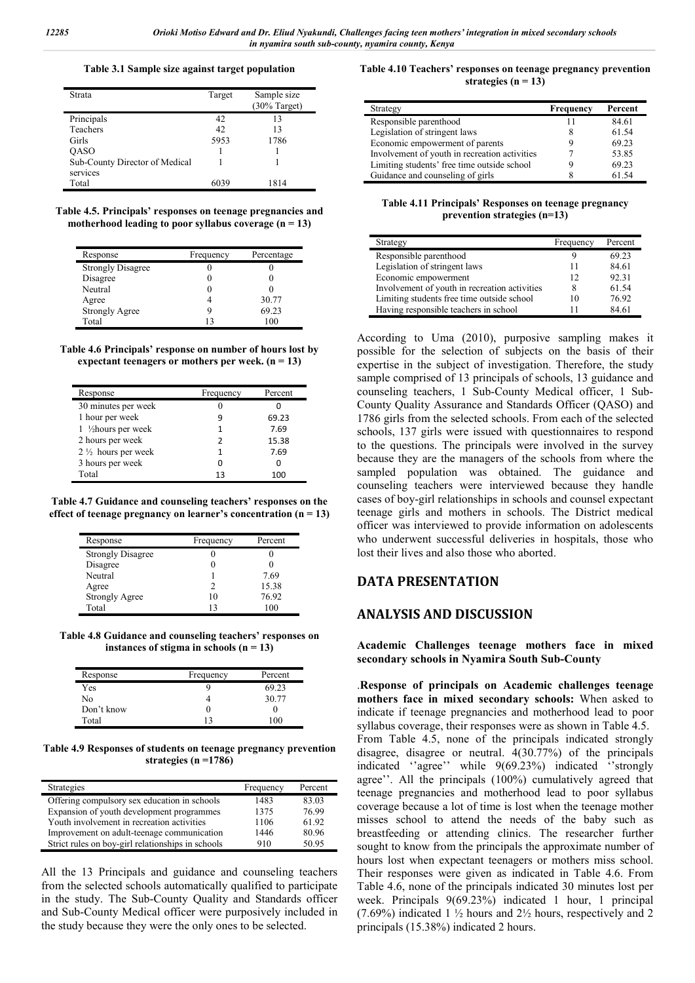#### **Table 3.1 Sample size against target population**

| Strata                         | Target | Sample size<br>$(30%$ Target) |
|--------------------------------|--------|-------------------------------|
| Principals                     | 42     | 13                            |
| Teachers                       | 42     | 13                            |
| Girls                          | 5953   | 1786                          |
| <b>QASO</b>                    |        |                               |
| Sub-County Director of Medical |        |                               |
| services                       |        |                               |
| Total                          | ናበ3ዓ   | 1814                          |

**Table 4.5. Principals' responses on teenage pregnancies and motherhood leading to poor syllabus coverage (n = 13)**

| Response                 | Frequency | Percentage |
|--------------------------|-----------|------------|
| <b>Strongly Disagree</b> |           |            |
| Disagree                 |           |            |
| Neutral                  |           |            |
| Agree                    |           | 30.77      |
| <b>Strongly Agree</b>    |           | 69.23      |
| Total                    | 13        | 100        |

| Table 4.6 Principals' response on number of hours lost by |
|-----------------------------------------------------------|
| expectant teenagers or mothers per week. $(n = 13)$       |

| Response                      | Frequency | Percent |
|-------------------------------|-----------|---------|
| 30 minutes per week           |           |         |
| 1 hour per week               | q         | 69.23   |
| 1 1/2 hours per week          | 1         | 7.69    |
| 2 hours per week              | າ         | 15.38   |
| $2\frac{1}{2}$ hours per week |           | 7.69    |
| 3 hours per week              |           |         |
| Total                         | 13        | 100     |

**Table 4.7 Guidance and counseling teachers' responses on the effect of teenage pregnancy on learner's concentration (n = 13)**

| Response                 | Frequency | Percent |
|--------------------------|-----------|---------|
| <b>Strongly Disagree</b> |           |         |
| Disagree                 |           |         |
| Neutral                  |           | 7.69    |
| Agree                    | າ         | 15.38   |
| <b>Strongly Agree</b>    | 10        | 76.92   |
| Total                    | 13        | 100     |

**Table 4.8 Guidance and counseling teachers' responses on instances of stigma in schools (n = 13)**

| Response   | Frequency | Percent |
|------------|-----------|---------|
| Yes        | 9         | 69.23   |
| No         |           | 30.77   |
| Don't know | U         |         |
| Total      | 12        | 100     |

**Table 4.9 Responses of students on teenage pregnancy prevention strategies (n =1786)**

| Strategies                                        | Frequency | Percent |
|---------------------------------------------------|-----------|---------|
| Offering compulsory sex education in schools      | 1483      | 83.03   |
| Expansion of youth development programmes         | 1375      | 76.99   |
| Youth involvement in recreation activities        | 1106      | 61.92   |
| Improvement on adult-teenage communication        | 1446      | 80.96   |
| Strict rules on boy-girl relationships in schools | 910       | 50.95   |

All the 13 Principals and guidance and counseling teachers from the selected schools automatically qualified to participate in the study. The Sub-County Quality and Standards officer and Sub-County Medical officer were purposively included in the study because they were the only ones to be selected.

#### **Table 4.10 Teachers' responses on teenage pregnancy prevention strategies (n = 13)**

| Strategy                                      | <b>Frequency</b> | Percent |
|-----------------------------------------------|------------------|---------|
| Responsible parenthood                        |                  | 84.61   |
| Legislation of stringent laws                 |                  | 61.54   |
| Economic empowerment of parents               |                  | 69.23   |
| Involvement of youth in recreation activities |                  | 53.85   |
| Limiting students' free time outside school   |                  | 69.23   |
| Guidance and counseling of girls              |                  | 61.54   |

**Table 4.11 Principals' Responses on teenage pregnancy prevention strategies (n=13)**

| Strategy                                      | Frequency | Percent |
|-----------------------------------------------|-----------|---------|
| Responsible parenthood                        |           | 69.23   |
| Legislation of stringent laws                 | 11        | 84.61   |
| Economic empowerment                          | 12        | 92.31   |
| Involvement of youth in recreation activities | 8         | 61.54   |
| Limiting students free time outside school    | 10        | 76.92   |
| Having responsible teachers in school         |           | 84.61   |

According to Uma (2010), purposive sampling makes it possible for the selection of subjects on the basis of their expertise in the subject of investigation. Therefore, the study sample comprised of 13 principals of schools, 13 guidance and counseling teachers, 1 Sub-County Medical officer, 1 Sub-County Quality Assurance and Standards Officer (QASO) and 1786 girls from the selected schools. From each of the selected schools, 137 girls were issued with questionnaires to respond to the questions. The principals were involved in the survey because they are the managers of the schools from where the sampled population was obtained. The guidance and counseling teachers were interviewed because they handle cases of boy-girl relationships in schools and counsel expectant teenage girls and mothers in schools. The District medical officer was interviewed to provide information on adolescents who underwent successful deliveries in hospitals, those who lost their lives and also those who aborted.

## **DATA PRESENTATION**

## **ANALYSIS AND DISCUSSION**

**Academic Challenges teenage mothers face in mixed secondary schools in Nyamira South Sub-County**

.**Response of principals on Academic challenges teenage mothers face in mixed secondary schools:** When asked to indicate if teenage pregnancies and motherhood lead to poor syllabus coverage, their responses were as shown in Table 4.5. From Table 4.5, none of the principals indicated strongly disagree, disagree or neutral. 4(30.77%) of the principals indicated ''agree'' while 9(69.23%) indicated ''strongly agree''. All the principals (100%) cumulatively agreed that teenage pregnancies and motherhood lead to poor syllabus coverage because a lot of time is lost when the teenage mother misses school to attend the needs of the baby such as breastfeeding or attending clinics. The researcher further sought to know from the principals the approximate number of hours lost when expectant teenagers or mothers miss school. Their responses were given as indicated in Table 4.6. From Table 4.6, none of the principals indicated 30 minutes lost per week. Principals 9(69.23%) indicated 1 hour, 1 principal (7.69%) indicated 1  $\frac{1}{2}$  hours and 2  $\frac{1}{2}$  hours, respectively and 2 principals (15.38%) indicated 2 hours.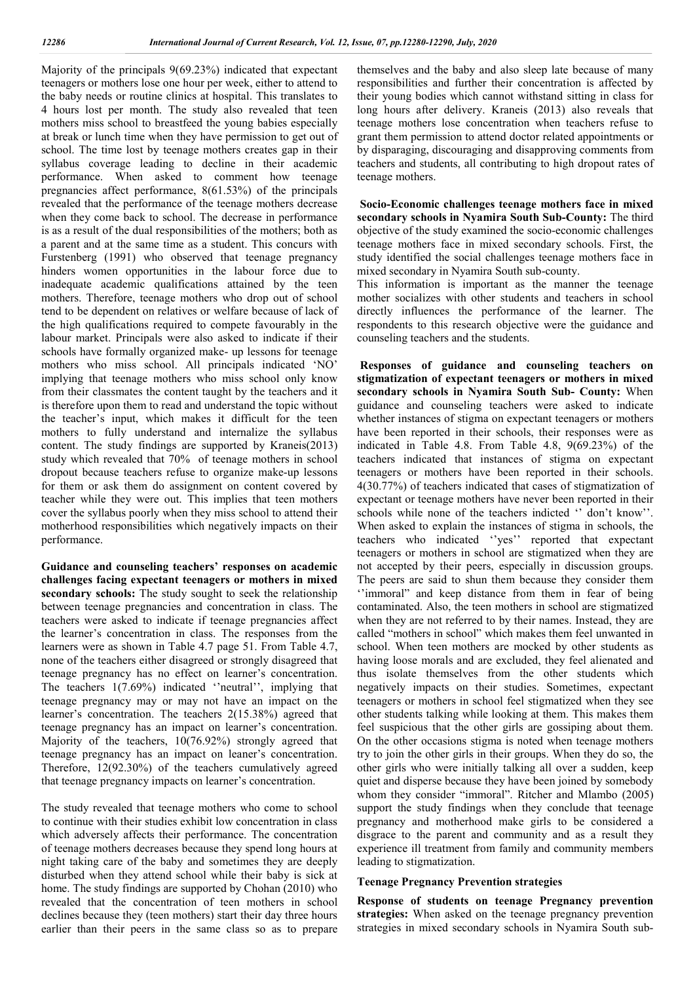Majority of the principals 9(69.23%) indicated that expectant teenagers or mothers lose one hour per week, either to attend to the baby needs or routine clinics at hospital. This translates to 4 hours lost per month. The study also revealed that teen mothers miss school to breastfeed the young babies especially at break or lunch time when they have permission to get out of school. The time lost by teenage mothers creates gap in their syllabus coverage leading to decline in their academic performance. When asked to comment how teenage pregnancies affect performance, 8(61.53%) of the principals revealed that the performance of the teenage mothers decrease when they come back to school. The decrease in performance is as a result of the dual responsibilities of the mothers; both as a parent and at the same time as a student. This concurs with Furstenberg (1991) who observed that teenage pregnancy hinders women opportunities in the labour force due to inadequate academic qualifications attained by the teen mothers. Therefore, teenage mothers who drop out of school tend to be dependent on relatives or welfare because of lack of the high qualifications required to compete favourably in the labour market. Principals were also asked to indicate if their schools have formally organized make- up lessons for teenage mothers who miss school. All principals indicated 'NO' implying that teenage mothers who miss school only know from their classmates the content taught by the teachers and it is therefore upon them to read and understand the topic without the teacher's input, which makes it difficult for the teen mothers to fully understand and internalize the syllabus content. The study findings are supported by Kraneis(2013) study which revealed that 70% of teenage mothers in school dropout because teachers refuse to organize make-up lessons for them or ask them do assignment on content covered by teacher while they were out. This implies that teen mothers cover the syllabus poorly when they miss school to attend their motherhood responsibilities which negatively impacts on their performance.

**Guidance and counseling teachers' responses on academic challenges facing expectant teenagers or mothers in mixed secondary schools:** The study sought to seek the relationship between teenage pregnancies and concentration in class. The teachers were asked to indicate if teenage pregnancies affect the learner's concentration in class. The responses from the learners were as shown in Table 4.7 page 51. From Table 4.7, none of the teachers either disagreed or strongly disagreed that teenage pregnancy has no effect on learner's concentration. The teachers 1(7.69%) indicated ''neutral'', implying that teenage pregnancy may or may not have an impact on the learner's concentration. The teachers 2(15.38%) agreed that teenage pregnancy has an impact on learner's concentration. Majority of the teachers, 10(76.92%) strongly agreed that teenage pregnancy has an impact on leaner's concentration. Therefore, 12(92.30%) of the teachers cumulatively agreed that teenage pregnancy impacts on learner's concentration.

The study revealed that teenage mothers who come to school to continue with their studies exhibit low concentration in class which adversely affects their performance. The concentration of teenage mothers decreases because they spend long hours at night taking care of the baby and sometimes they are deeply disturbed when they attend school while their baby is sick at home. The study findings are supported by Chohan (2010) who revealed that the concentration of teen mothers in school declines because they (teen mothers) start their day three hours earlier than their peers in the same class so as to prepare

themselves and the baby and also sleep late because of many responsibilities and further their concentration is affected by their young bodies which cannot withstand sitting in class for long hours after delivery. Kraneis (2013) also reveals that teenage mothers lose concentration when teachers refuse to grant them permission to attend doctor related appointments or by disparaging, discouraging and disapproving comments from teachers and students, all contributing to high dropout rates of teenage mothers.

**Socio-Economic challenges teenage mothers face in mixed secondary schools in Nyamira South Sub-County:** The third objective of the study examined the socio-economic challenges teenage mothers face in mixed secondary schools. First, the study identified the social challenges teenage mothers face in mixed secondary in Nyamira South sub-county.

This information is important as the manner the teenage mother socializes with other students and teachers in school directly influences the performance of the learner. The respondents to this research objective were the guidance and counseling teachers and the students.

**Responses of guidance and counseling teachers on stigmatization of expectant teenagers or mothers in mixed secondary schools in Nyamira South Sub- County:** When guidance and counseling teachers were asked to indicate whether instances of stigma on expectant teenagers or mothers have been reported in their schools, their responses were as indicated in Table 4.8. From Table 4.8, 9(69.23%) of the teachers indicated that instances of stigma on expectant teenagers or mothers have been reported in their schools. 4(30.77%) of teachers indicated that cases of stigmatization of expectant or teenage mothers have never been reported in their schools while none of the teachers indicted '' don't know''. When asked to explain the instances of stigma in schools, the teachers who indicated ''yes'' reported that expectant teenagers or mothers in school are stigmatized when they are not accepted by their peers, especially in discussion groups. The peers are said to shun them because they consider them ''immoral" and keep distance from them in fear of being contaminated. Also, the teen mothers in school are stigmatized when they are not referred to by their names. Instead, they are called "mothers in school" which makes them feel unwanted in school. When teen mothers are mocked by other students as having loose morals and are excluded, they feel alienated and thus isolate themselves from the other students which negatively impacts on their studies. Sometimes, expectant teenagers or mothers in school feel stigmatized when they see other students talking while looking at them. This makes them feel suspicious that the other girls are gossiping about them. On the other occasions stigma is noted when teenage mothers try to join the other girls in their groups. When they do so, the other girls who were initially talking all over a sudden, keep quiet and disperse because they have been joined by somebody whom they consider "immoral". Ritcher and Mlambo (2005) support the study findings when they conclude that teenage pregnancy and motherhood make girls to be considered a disgrace to the parent and community and as a result they experience ill treatment from family and community members leading to stigmatization.

#### **Teenage Pregnancy Prevention strategies**

**Response of students on teenage Pregnancy prevention strategies:** When asked on the teenage pregnancy prevention strategies in mixed secondary schools in Nyamira South sub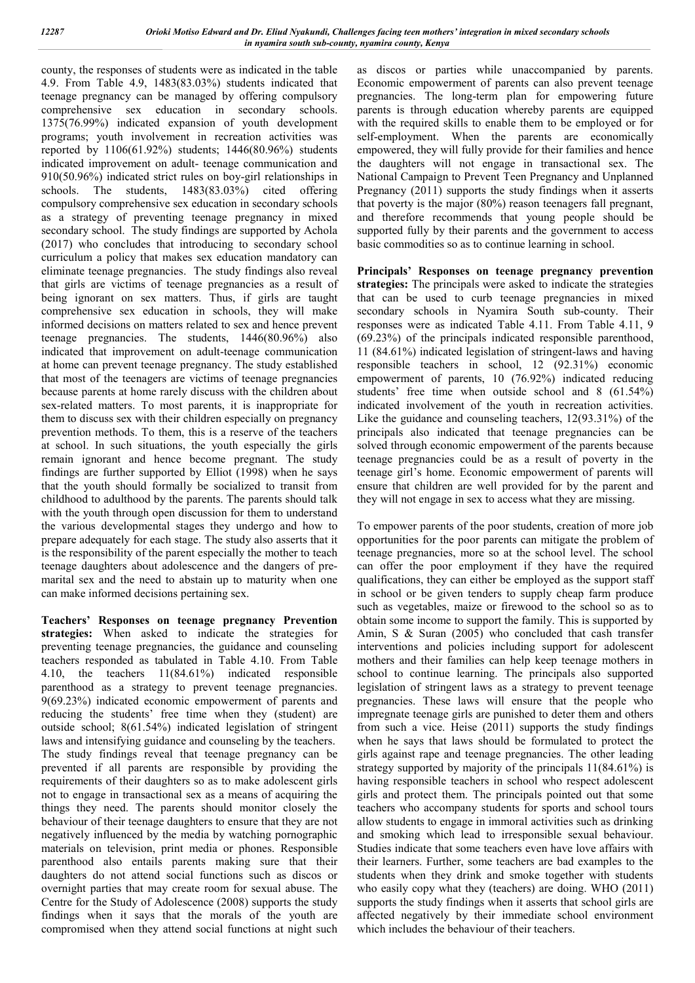county, the responses of students were as indicated in the table 4.9. From Table 4.9, 1483(83.03%) students indicated that teenage pregnancy can be managed by offering compulsory comprehensive sex education in secondary schools. 1375(76.99%) indicated expansion of youth development programs; youth involvement in recreation activities was reported by 1106(61.92%) students; 1446(80.96%) students indicated improvement on adult- teenage communication and 910(50.96%) indicated strict rules on boy-girl relationships in schools. The students, 1483(83.03%) cited offering compulsory comprehensive sex education in secondary schools as a strategy of preventing teenage pregnancy in mixed secondary school. The study findings are supported by Achola (2017) who concludes that introducing to secondary school curriculum a policy that makes sex education mandatory can eliminate teenage pregnancies. The study findings also reveal that girls are victims of teenage pregnancies as a result of being ignorant on sex matters. Thus, if girls are taught comprehensive sex education in schools, they will make informed decisions on matters related to sex and hence prevent teenage pregnancies. The students, 1446(80.96%) also indicated that improvement on adult-teenage communication at home can prevent teenage pregnancy. The study established that most of the teenagers are victims of teenage pregnancies because parents at home rarely discuss with the children about sex-related matters. To most parents, it is inappropriate for them to discuss sex with their children especially on pregnancy prevention methods. To them, this is a reserve of the teachers at school. In such situations, the youth especially the girls remain ignorant and hence become pregnant. The study findings are further supported by Elliot (1998) when he says that the youth should formally be socialized to transit from childhood to adulthood by the parents. The parents should talk with the youth through open discussion for them to understand the various developmental stages they undergo and how to prepare adequately for each stage. The study also asserts that it is the responsibility of the parent especially the mother to teach teenage daughters about adolescence and the dangers of premarital sex and the need to abstain up to maturity when one can make informed decisions pertaining sex.

**Teachers' Responses on teenage pregnancy Prevention strategies:** When asked to indicate the strategies for preventing teenage pregnancies, the guidance and counseling teachers responded as tabulated in Table 4.10. From Table 4.10, the teachers 11(84.61%) indicated responsible parenthood as a strategy to prevent teenage pregnancies. 9(69.23%) indicated economic empowerment of parents and reducing the students' free time when they (student) are outside school; 8(61.54%) indicated legislation of stringent laws and intensifying guidance and counseling by the teachers. The study findings reveal that teenage pregnancy can be prevented if all parents are responsible by providing the requirements of their daughters so as to make adolescent girls not to engage in transactional sex as a means of acquiring the things they need. The parents should monitor closely the behaviour of their teenage daughters to ensure that they are not negatively influenced by the media by watching pornographic materials on television, print media or phones. Responsible parenthood also entails parents making sure that their daughters do not attend social functions such as discos or overnight parties that may create room for sexual abuse. The Centre for the Study of Adolescence (2008) supports the study findings when it says that the morals of the youth are compromised when they attend social functions at night such

as discos or parties while unaccompanied by parents. Economic empowerment of parents can also prevent teenage pregnancies. The long-term plan for empowering future parents is through education whereby parents are equipped with the required skills to enable them to be employed or for self-employment. When the parents are economically empowered, they will fully provide for their families and hence the daughters will not engage in transactional sex. The National Campaign to Prevent Teen Pregnancy and Unplanned Pregnancy (2011) supports the study findings when it asserts that poverty is the major (80%) reason teenagers fall pregnant, and therefore recommends that young people should be supported fully by their parents and the government to access basic commodities so as to continue learning in school.

**Principals' Responses on teenage pregnancy prevention strategies:** The principals were asked to indicate the strategies that can be used to curb teenage pregnancies in mixed secondary schools in Nyamira South sub-county. Their responses were as indicated Table 4.11. From Table 4.11, 9 (69.23%) of the principals indicated responsible parenthood, 11 (84.61%) indicated legislation of stringent-laws and having responsible teachers in school, 12 (92.31%) economic empowerment of parents, 10 (76.92%) indicated reducing students' free time when outside school and 8 (61.54%) indicated involvement of the youth in recreation activities. Like the guidance and counseling teachers, 12(93.31%) of the principals also indicated that teenage pregnancies can be solved through economic empowerment of the parents because teenage pregnancies could be as a result of poverty in the teenage girl's home. Economic empowerment of parents will ensure that children are well provided for by the parent and they will not engage in sex to access what they are missing.

To empower parents of the poor students, creation of more job opportunities for the poor parents can mitigate the problem of teenage pregnancies, more so at the school level. The school can offer the poor employment if they have the required qualifications, they can either be employed as the support staff in school or be given tenders to supply cheap farm produce such as vegetables, maize or firewood to the school so as to obtain some income to support the family. This is supported by Amin, S & Suran (2005) who concluded that cash transfer interventions and policies including support for adolescent mothers and their families can help keep teenage mothers in school to continue learning. The principals also supported legislation of stringent laws as a strategy to prevent teenage pregnancies. These laws will ensure that the people who impregnate teenage girls are punished to deter them and others from such a vice. Heise (2011) supports the study findings when he says that laws should be formulated to protect the girls against rape and teenage pregnancies. The other leading strategy supported by majority of the principals 11(84.61%) is having responsible teachers in school who respect adolescent girls and protect them. The principals pointed out that some teachers who accompany students for sports and school tours allow students to engage in immoral activities such as drinking and smoking which lead to irresponsible sexual behaviour. Studies indicate that some teachers even have love affairs with their learners. Further, some teachers are bad examples to the students when they drink and smoke together with students who easily copy what they (teachers) are doing. WHO (2011) supports the study findings when it asserts that school girls are affected negatively by their immediate school environment which includes the behaviour of their teachers.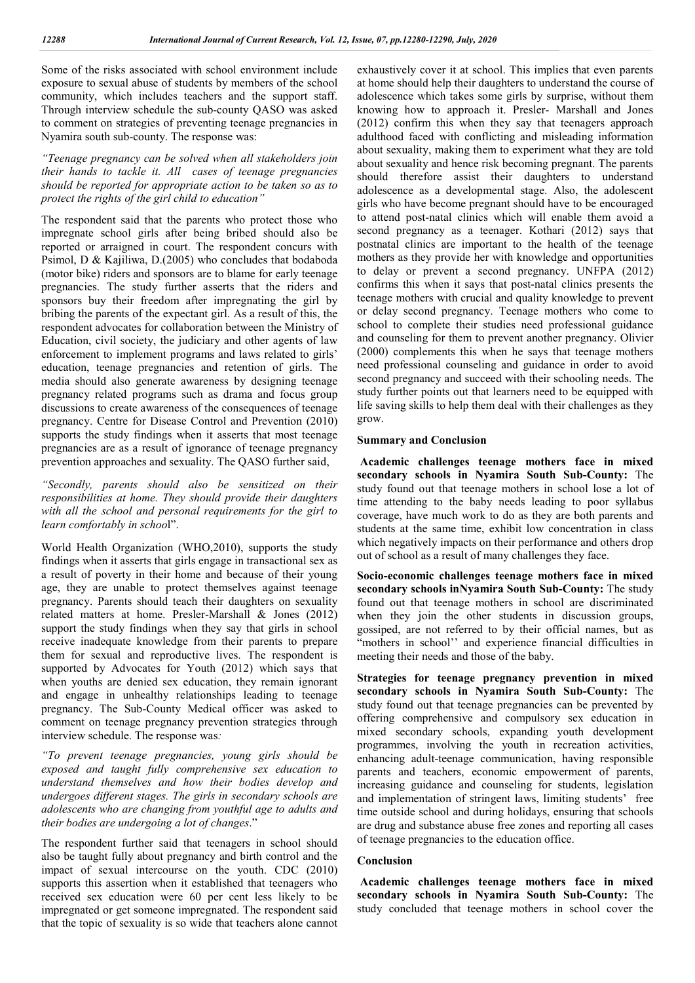Some of the risks associated with school environment include exposure to sexual abuse of students by members of the school community, which includes teachers and the support staff. Through interview schedule the sub-county QASO was asked to comment on strategies of preventing teenage pregnancies in Nyamira south sub-county. The response was:

*"Teenage pregnancy can be solved when all stakeholders join their hands to tackle it. All cases of teenage pregnancies should be reported for appropriate action to be taken so as to protect the rights of the girl child to education"*

The respondent said that the parents who protect those who impregnate school girls after being bribed should also be reported or arraigned in court. The respondent concurs with Psimol, D & Kajiliwa, D.(2005) who concludes that bodaboda (motor bike) riders and sponsors are to blame for early teenage pregnancies. The study further asserts that the riders and sponsors buy their freedom after impregnating the girl by bribing the parents of the expectant girl. As a result of this, the respondent advocates for collaboration between the Ministry of Education, civil society, the judiciary and other agents of law enforcement to implement programs and laws related to girls' education, teenage pregnancies and retention of girls. The media should also generate awareness by designing teenage pregnancy related programs such as drama and focus group discussions to create awareness of the consequences of teenage pregnancy. Centre for Disease Control and Prevention (2010) supports the study findings when it asserts that most teenage pregnancies are as a result of ignorance of teenage pregnancy prevention approaches and sexuality. The QASO further said,

*"Secondly, parents should also be sensitized on their responsibilities at home. They should provide their daughters with all the school and personal requirements for the girl to learn comfortably in schoo*l".

World Health Organization (WHO,2010), supports the study findings when it asserts that girls engage in transactional sex as a result of poverty in their home and because of their young age, they are unable to protect themselves against teenage pregnancy. Parents should teach their daughters on sexuality related matters at home. Presler-Marshall & Jones (2012) support the study findings when they say that girls in school receive inadequate knowledge from their parents to prepare them for sexual and reproductive lives. The respondent is supported by Advocates for Youth (2012) which says that when youths are denied sex education, they remain ignorant and engage in unhealthy relationships leading to teenage pregnancy. The Sub-County Medical officer was asked to comment on teenage pregnancy prevention strategies through interview schedule. The response was*:*

*"To prevent teenage pregnancies, young girls should be exposed and taught fully comprehensive sex education to understand themselves and how their bodies develop and undergoes different stages. The girls in secondary schools are adolescents who are changing from youthful age to adults and their bodies are undergoing a lot of changes*."

The respondent further said that teenagers in school should also be taught fully about pregnancy and birth control and the impact of sexual intercourse on the youth. CDC (2010) supports this assertion when it established that teenagers who received sex education were 60 per cent less likely to be impregnated or get someone impregnated. The respondent said that the topic of sexuality is so wide that teachers alone cannot exhaustively cover it at school. This implies that even parents at home should help their daughters to understand the course of adolescence which takes some girls by surprise, without them knowing how to approach it. Presler- Marshall and Jones (2012) confirm this when they say that teenagers approach adulthood faced with conflicting and misleading information about sexuality, making them to experiment what they are told about sexuality and hence risk becoming pregnant. The parents should therefore assist their daughters to understand adolescence as a developmental stage. Also, the adolescent girls who have become pregnant should have to be encouraged to attend post-natal clinics which will enable them avoid a second pregnancy as a teenager. Kothari (2012) says that postnatal clinics are important to the health of the teenage mothers as they provide her with knowledge and opportunities to delay or prevent a second pregnancy. UNFPA (2012) confirms this when it says that post-natal clinics presents the teenage mothers with crucial and quality knowledge to prevent or delay second pregnancy. Teenage mothers who come to school to complete their studies need professional guidance and counseling for them to prevent another pregnancy. Olivier (2000) complements this when he says that teenage mothers need professional counseling and guidance in order to avoid second pregnancy and succeed with their schooling needs. The study further points out that learners need to be equipped with life saving skills to help them deal with their challenges as they grow.

#### **Summary and Conclusion**

**Academic challenges teenage mothers face in mixed secondary schools in Nyamira South Sub-County:** The study found out that teenage mothers in school lose a lot of time attending to the baby needs leading to poor syllabus coverage, have much work to do as they are both parents and students at the same time, exhibit low concentration in class which negatively impacts on their performance and others drop out of school as a result of many challenges they face.

**Socio-economic challenges teenage mothers face in mixed secondary schools inNyamira South Sub-County:** The study found out that teenage mothers in school are discriminated when they join the other students in discussion groups, gossiped, are not referred to by their official names, but as "mothers in school'' and experience financial difficulties in meeting their needs and those of the baby.

**Strategies for teenage pregnancy prevention in mixed secondary schools in Nyamira South Sub-County:** The study found out that teenage pregnancies can be prevented by offering comprehensive and compulsory sex education in mixed secondary schools, expanding youth development programmes, involving the youth in recreation activities, enhancing adult-teenage communication, having responsible parents and teachers, economic empowerment of parents, increasing guidance and counseling for students, legislation and implementation of stringent laws, limiting students' free time outside school and during holidays, ensuring that schools are drug and substance abuse free zones and reporting all cases of teenage pregnancies to the education office.

#### **Conclusion**

**Academic challenges teenage mothers face in mixed secondary schools in Nyamira South Sub-County:** The study concluded that teenage mothers in school cover the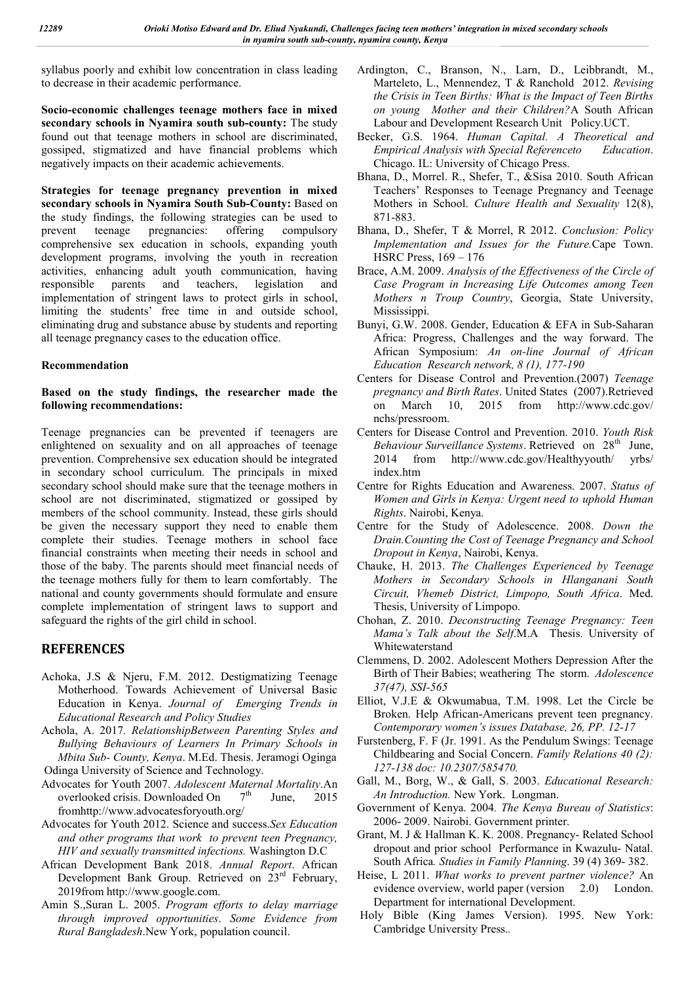syllabus poorly and exhibit low concentration in class leading to decrease in their academic performance.

**Socio-economic challenges teenage mothers face in mixed secondary schools in Nyamira south sub-county:** The study found out that teenage mothers in school are discriminated, gossiped, stigmatized and have financial problems which negatively impacts on their academic achievements.

**Strategies for teenage pregnancy prevention in mixed secondary schools in Nyamira South Sub-County:** Based on the study findings, the following strategies can be used to prevent teenage pregnancies: offering compulsory comprehensive sex education in schools, expanding youth development programs, involving the youth in recreation activities, enhancing adult youth communication, having responsible parents and teachers, legislation and implementation of stringent laws to protect girls in school, limiting the students' free time in and outside school, eliminating drug and substance abuse by students and reporting all teenage pregnancy cases to the education office.

## **Recommendation**

## **Based on the study findings, the researcher made the following recommendations:**

Teenage pregnancies can be prevented if teenagers are enlightened on sexuality and on all approaches of teenage prevention. Comprehensive sex education should be integrated in secondary school curriculum. The principals in mixed secondary school should make sure that the teenage mothers in school are not discriminated, stigmatized or gossiped by members of the school community. Instead, these girls should be given the necessary support they need to enable them complete their studies. Teenage mothers in school face financial constraints when meeting their needs in school and those of the baby. The parents should meet financial needs of the teenage mothers fully for them to learn comfortably. The national and county governments should formulate and ensure complete implementation of stringent laws to support and safeguard the rights of the girl child in school.

# **REFERENCES**

- Achoka, J.S & Njeru, F.M. 2012. Destigmatizing Teenage Motherhood. Towards Achievement of Universal Basic Education in Kenya. *Journal of Emerging Trends in Educational Research and Policy Studies*
- Achola, A. 2017*. RelationshipBetween Parenting Styles and Bullying Behaviours of Learners In Primary Schools in Mbita Sub- County, Kenya*. M.Ed. Thesis. Jeramogi Oginga Odinga University of Science and Technology.
- Advocates for Youth 2007. *Adolescent Maternal Mortality*.An overlooked crisis. Downloaded On  $7<sup>th</sup>$  June, 2015 fromhttp://www.advocatesforyouth.org/
- Advocates for Youth 2012. Science and success.*Sex Education and other programs that work to prevent teen Pregnancy, HIV and sexually transmitted infections.* Washington D.C
- African Development Bank 2018. *Annual Report*. African Development Bank Group. Retrieved on 23<sup>rd</sup> February, 2019from http://www.google.com.
- Amin S.,Suran L. 2005. *Program efforts to delay marriage through improved opportunities*. *Some Evidence from Rural Bangladesh*.New York, population council.
- Ardington, C., Branson, N., Larn, D., Leibbrandt, M., Marteleto, L., Mennendez, T & Ranchold 2012. *Revising the Crisis in Teen Births: What is the Impact of Teen Births on young Mother and their Children?*A South African Labour and Development Research Unit Policy.UCT.
- Becker, G.S. 1964. *Human Capital. A Theoretical and Empirical Analysis with Special Referenceto Education*. Chicago. IL: University of Chicago Press.
- Bhana, D., Morrel. R., Shefer, T., &Sisa 2010. South African Teachers' Responses to Teenage Pregnancy and Teenage Mothers in School. *Culture Health and Sexuality* 12(8), 871-883.
- Bhana, D., Shefer, T & Morrel, R 2012. *Conclusion: Policy Implementation and Issues for the Future.*Cape Town. HSRC Press, 169 – 176
- Brace, A.M. 2009. *Analysis of the Effectiveness of the Circle of Case Program in Increasing Life Outcomes among Teen Mothers n Troup Country*, Georgia, State University, Mississippi.
- Bunyi, G.W. 2008. Gender, Education & EFA in Sub-Saharan Africa: Progress, Challenges and the way forward. The African Symposium: *An on-line Journal of African Education Research network, 8 (1), 177-190*
- Centers for Disease Control and Prevention.(2007) *Teenage pregnancy and Birth Rates*. United States (2007).Retrieved on March 10, 2015 from http://www.cdc.gov/ nchs/pressroom.
- Centers for Disease Control and Prevention. 2010. *Youth Risk Behaviour Surveillance Systems*. Retrieved on 28<sup>th</sup> June, 2014 from http://www.cdc.gov/Healthyyouth/ yrbs/ index.htm
- Centre for Rights Education and Awareness. 2007. *Status of Women and Girls in Kenya: Urgent need to uphold Human Rights*. Nairobi, Kenya.
- Centre for the Study of Adolescence. 2008. *Down the Drain.Counting the Cost of Teenage Pregnancy and School Dropout in Kenya*, Nairobi, Kenya.
- Chauke, H. 2013. *The Challenges Experienced by Teenage Mothers in Secondary Schools in Hlanganani South Circuit, Vhemeb District, Limpopo, South Africa*. Med. Thesis, University of Limpopo.
- Chohan, Z. 2010. *Deconstructing Teenage Pregnancy: Teen Mama's Talk about the Self*.M.A Thesis. University of Whitewaterstand
- Clemmens, D. 2002. Adolescent Mothers Depression After the Birth of Their Babies; weathering The storm. *Adolescence 37(47), SSI-565*
- Elliot, V.J.E & Okwumabua, T.M. 1998. Let the Circle be Broken. Help African-Americans prevent teen pregnancy. *Contemporary women's issues Database, 26, PP. 12-17*
- Furstenberg, F. F (Jr. 1991. As the Pendulum Swings: Teenage Childbearing and Social Concern. *Family Relations 40 (2): 127-138 doc: 10.2307/585470.*
- Gall, M., Borg, W., & Gall, S. 2003. *Educational Research: An Introduction.* New York. Longman.
- Government of Kenya. 2004*. The Kenya Bureau of Statistics*: 2006- 2009. Nairobi. Government printer.
- Grant, M. J & Hallman K. K. 2008. Pregnancy- Related School dropout and prior school Performance in Kwazulu- Natal. South Africa*. Studies in Family Planning*. 39 (4) 369- 382.
- Heise, L 2011. *What works to prevent partner violence?* An evidence overview, world paper (version 2.0) London. Department for international Development.
- Holy Bible (King James Version). 1995. New York: Cambridge University Press.*.*